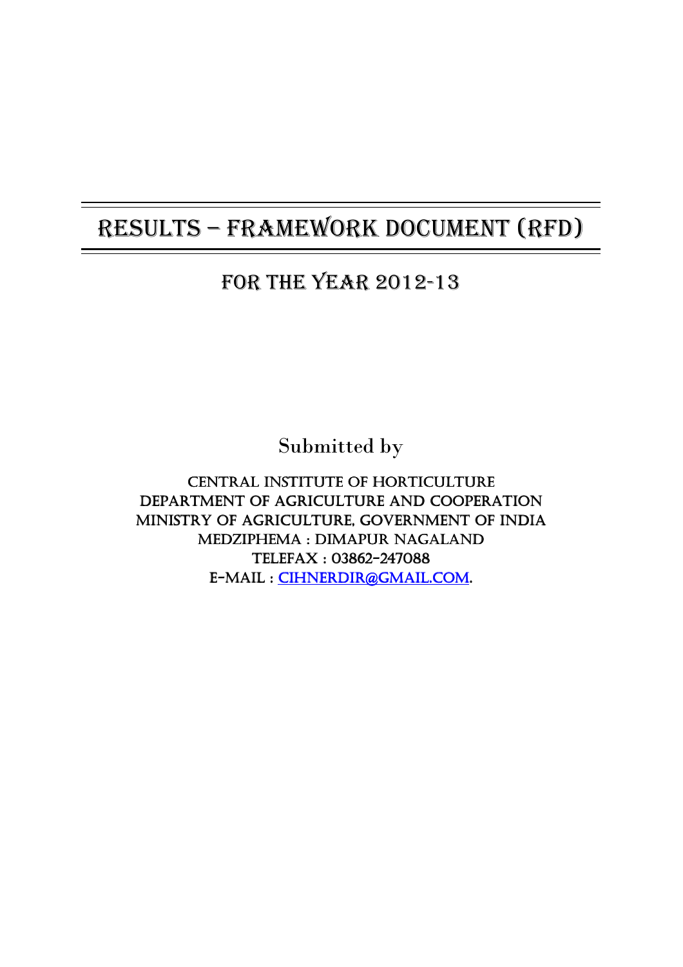# RESULTS – FRAMEWORK DOCUMENT (RFD)

## FOR THE YEAR 2012-13

Submitted by

CENTRAL INSTITUTE OF HORTICULTURE DEPARTMENT OF AGRICULTURE AND COOPERATION MINISTRY OF AGRICULTURE, GOVERNMENT OF INDIA MEDZIPHEMA : DIMAPUR NAGALAND TELEFAX : 03862- TELEFAX : 03862-247088 E-MAIL : CIHNERDIR@GMAIL.COM.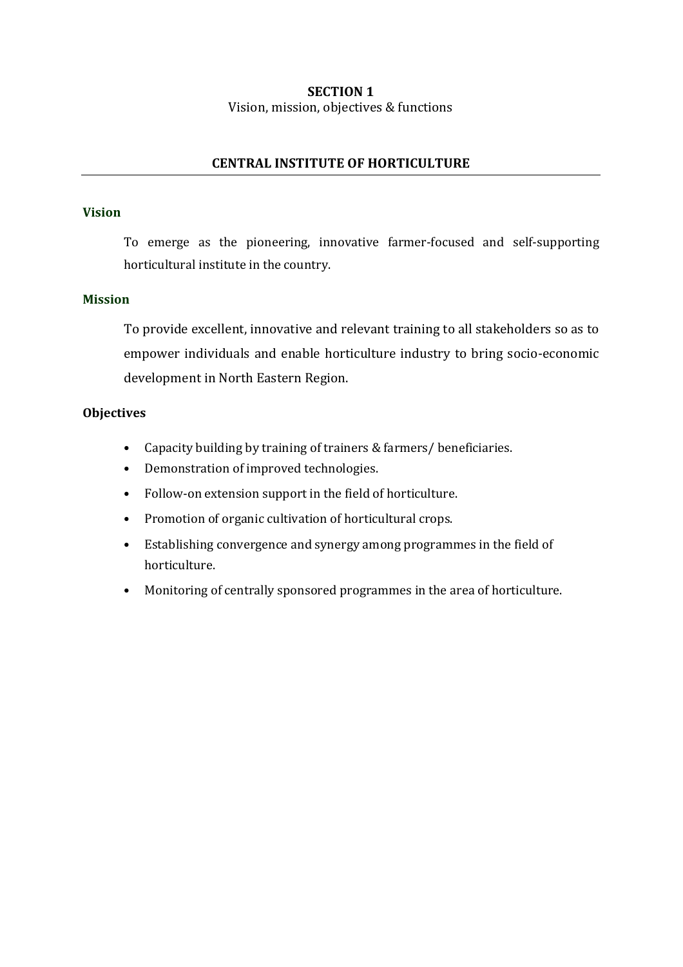#### SECTION 1 Vision, mission, objectives & functions

#### CENTRAL INSTITUTE OF HORTICULTURE

#### Vision

To emerge as the pioneering, innovative farmer-focused and self-supporting horticultural institute in the country.

#### Mission

To provide excellent, innovative and relevant training to all stakeholders so as to empower individuals and enable horticulture industry to bring socio-economic development in North Eastern Region.

#### **Objectives**

- Capacity building by training of trainers & farmers/ beneficiaries.
- Demonstration of improved technologies.
- Follow-on extension support in the field of horticulture.
- Promotion of organic cultivation of horticultural crops.
- Establishing convergence and synergy among programmes in the field of horticulture.
- Monitoring of centrally sponsored programmes in the area of horticulture.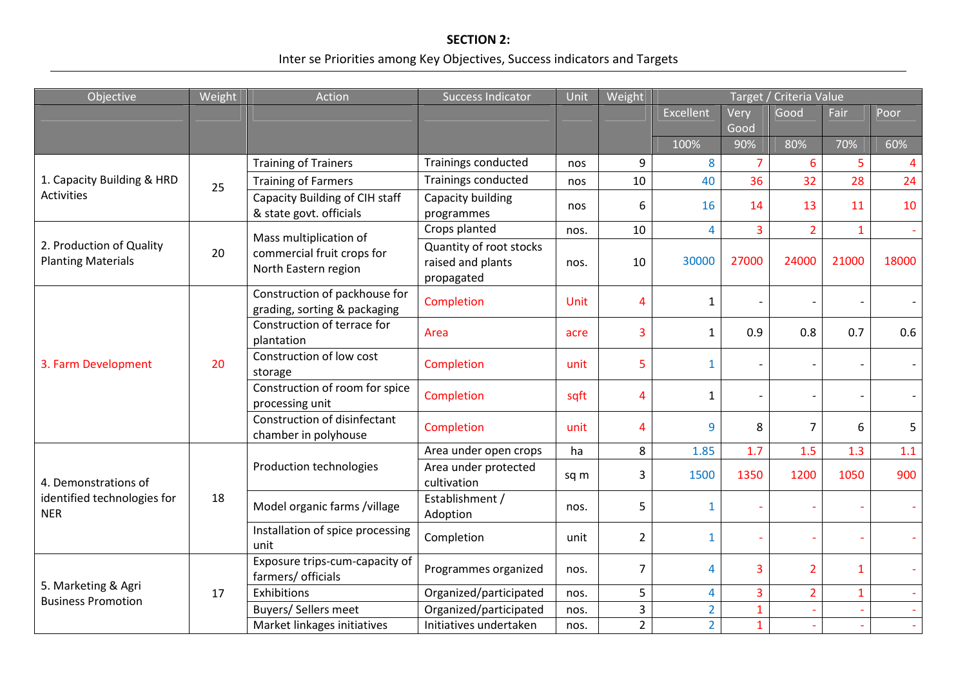## SECTION 2: Inter se Priorities among Key Objectives, Success indicators and Targets

| Objective                                             | Weight | Action                                                        | <b>Success Indicator</b>                                   | Unit        | Weight         | Target / Criteria Value |                |                |                          |                |
|-------------------------------------------------------|--------|---------------------------------------------------------------|------------------------------------------------------------|-------------|----------------|-------------------------|----------------|----------------|--------------------------|----------------|
|                                                       |        |                                                               |                                                            |             |                | <b>Excellent</b>        | Very           | Good           | Fair                     | Poor           |
|                                                       |        |                                                               |                                                            |             |                |                         | Good           |                |                          |                |
|                                                       |        |                                                               |                                                            |             |                | 100%                    | 90%            | 80%            | 70%                      | 60%            |
|                                                       | 25     | <b>Training of Trainers</b>                                   | Trainings conducted                                        | nos         | 9              | 8                       | $\overline{7}$ | 6              | 5                        | $\overline{4}$ |
| 1. Capacity Building & HRD                            |        | <b>Training of Farmers</b>                                    | Trainings conducted                                        | nos         | 10             | 40                      | 36             | 32             | 28                       | 24             |
| Activities                                            |        | Capacity Building of CIH staff<br>& state govt. officials     | Capacity building<br>programmes                            | nos         | 6              | 16                      | 14             | 13             | 11                       | 10             |
|                                                       |        | Mass multiplication of                                        | Crops planted                                              | nos.        | 10             | $\overline{4}$          | $\overline{3}$ | $\overline{2}$ | $\mathbf{1}$             |                |
| 2. Production of Quality<br><b>Planting Materials</b> | 20     | commercial fruit crops for<br>North Eastern region            | Quantity of root stocks<br>raised and plants<br>propagated | nos.        | 10             | 30000                   | 27000          | 24000          | 21000                    | 18000          |
|                                                       | 20     | Construction of packhouse for<br>grading, sorting & packaging | Completion                                                 | <b>Unit</b> | 4              | $\mathbf{1}$            |                |                |                          |                |
|                                                       |        | Construction of terrace for<br>plantation                     | Area                                                       | acre        | 3              | $\mathbf{1}$            | 0.9            | 0.8            | 0.7                      | 0.6            |
| 3. Farm Development                                   |        | Construction of low cost<br>storage                           | Completion                                                 | unit        | 5              | $\mathbf{1}$            |                |                |                          |                |
|                                                       |        | Construction of room for spice<br>processing unit             | Completion                                                 | sqft        | 4              | $\mathbf{1}$            |                |                |                          |                |
|                                                       |        | Construction of disinfectant<br>chamber in polyhouse          | Completion                                                 | unit        | 4              | 9                       | 8              | $\overline{7}$ | 6                        | 5              |
|                                                       | 18     | Production technologies                                       | Area under open crops                                      | ha          | 8              | 1.85                    | 1.7            | 1.5            | 1.3                      | 1.1            |
| 4. Demonstrations of                                  |        |                                                               | Area under protected<br>cultivation                        | sq m        | 3              | 1500                    | 1350           | 1200           | 1050                     | 900            |
| identified technologies for<br><b>NER</b>             |        | Model organic farms /village                                  | Establishment /<br>Adoption                                | nos.        | 5              | $\mathbf{1}$            |                |                |                          |                |
|                                                       |        | Installation of spice processing<br>unit                      | Completion                                                 | unit        | $\overline{2}$ | $\mathbf{1}$            |                |                | $\sim$                   |                |
|                                                       |        | Exposure trips-cum-capacity of<br>farmers/ officials          | Programmes organized                                       | nos.        | $\overline{7}$ | 4                       | 3              | $\overline{2}$ | $\mathbf{1}$             |                |
| 5. Marketing & Agri<br><b>Business Promotion</b>      | 17     | Exhibitions                                                   | Organized/participated                                     | nos.        | 5              | $\overline{4}$          | $\overline{3}$ | $\overline{2}$ | $\mathbf{1}$             |                |
|                                                       |        | Buyers/ Sellers meet                                          | Organized/participated                                     | nos.        | $\overline{3}$ | $\overline{2}$          | $\mathbf{1}$   | ÷              | $\overline{\phantom{a}}$ |                |
|                                                       |        | Market linkages initiatives                                   | Initiatives undertaken                                     | nos.        | $\overline{2}$ | $\overline{2}$          | $\mathbf{1}$   |                | $\sim$                   |                |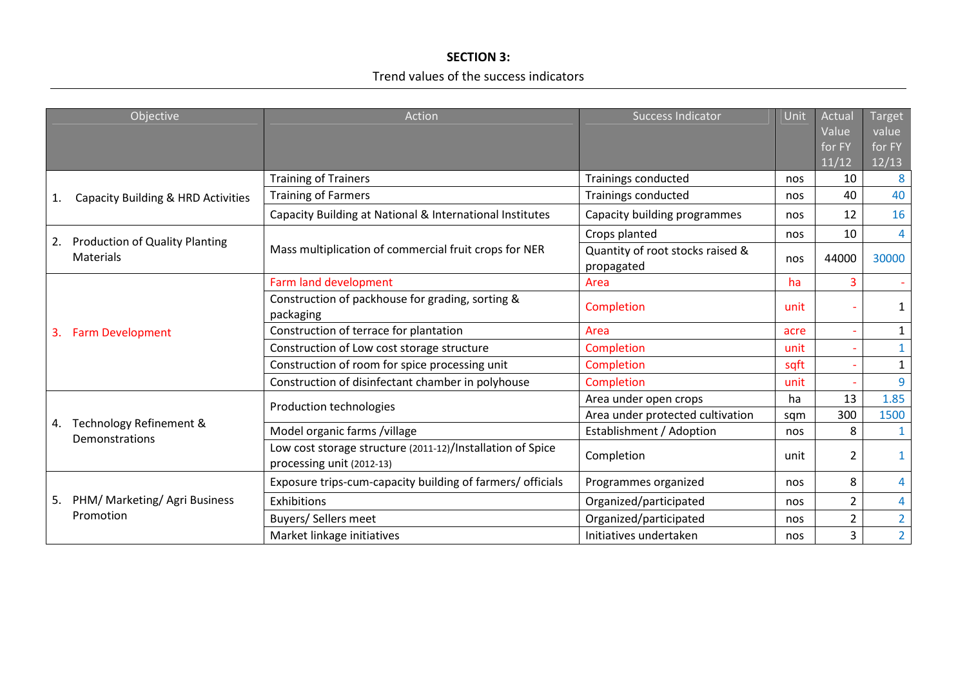### SECTION 3: Trend values of the success indicators

| Objective |                                                    | Action<br><b>Success Indicator</b>                                                      |                                                | Unit | Actual         | <b>Target</b>  |
|-----------|----------------------------------------------------|-----------------------------------------------------------------------------------------|------------------------------------------------|------|----------------|----------------|
|           |                                                    |                                                                                         |                                                |      | Value          | value          |
|           |                                                    |                                                                                         |                                                |      | for FY         | for FY         |
|           |                                                    |                                                                                         |                                                |      | 11/12          | 12/13          |
|           | Capacity Building & HRD Activities                 | <b>Training of Trainers</b>                                                             | Trainings conducted                            | nos  | 10             | 8              |
| 1.        |                                                    | <b>Training of Farmers</b>                                                              | Trainings conducted                            | nos  | 40             | 40             |
|           |                                                    | Capacity Building at National & International Institutes                                | Capacity building programmes                   | nos  | 12             | 16             |
| 2.        | <b>Production of Quality Planting</b><br>Materials | Mass multiplication of commercial fruit crops for NER                                   | Crops planted                                  | nos  | 10             | $\overline{4}$ |
|           |                                                    |                                                                                         | Quantity of root stocks raised &<br>propagated | nos  | 44000          | 30000          |
| 3.        | <b>Farm Development</b>                            | Farm land development                                                                   | Area                                           | ha   | 3              |                |
|           |                                                    | Construction of packhouse for grading, sorting &<br>packaging                           | Completion                                     | unit |                |                |
|           |                                                    | Construction of terrace for plantation                                                  | Area                                           | acre |                | $\mathbf{1}$   |
|           |                                                    | Construction of Low cost storage structure                                              | Completion                                     | unit |                | 1              |
|           |                                                    | Construction of room for spice processing unit                                          | Completion                                     | sqft |                | $\mathbf{1}$   |
|           |                                                    | Construction of disinfectant chamber in polyhouse                                       | Completion                                     | unit |                | 9              |
| 4.        | Technology Refinement &<br>Demonstrations          | Production technologies                                                                 | Area under open crops                          | ha   | 13             | 1.85           |
|           |                                                    |                                                                                         | Area under protected cultivation               | sqm  | 300            | 1500           |
|           |                                                    | Model organic farms /village                                                            | Establishment / Adoption                       | nos  | 8              | 1              |
|           |                                                    | Low cost storage structure (2011-12)/Installation of Spice<br>processing unit (2012-13) | Completion                                     | unit | 2              | 1              |
| 5.        | PHM/ Marketing/ Agri Business<br>Promotion         | Exposure trips-cum-capacity building of farmers/ officials                              | Programmes organized                           | nos  | 8              | 4              |
|           |                                                    | Exhibitions                                                                             | Organized/participated                         | nos  | 2              | 4              |
|           |                                                    | <b>Buyers/ Sellers meet</b>                                                             | Organized/participated                         | nos  | $\overline{2}$ | $\overline{2}$ |
|           |                                                    | Market linkage initiatives                                                              | Initiatives undertaken                         | nos  | 3              | $\overline{2}$ |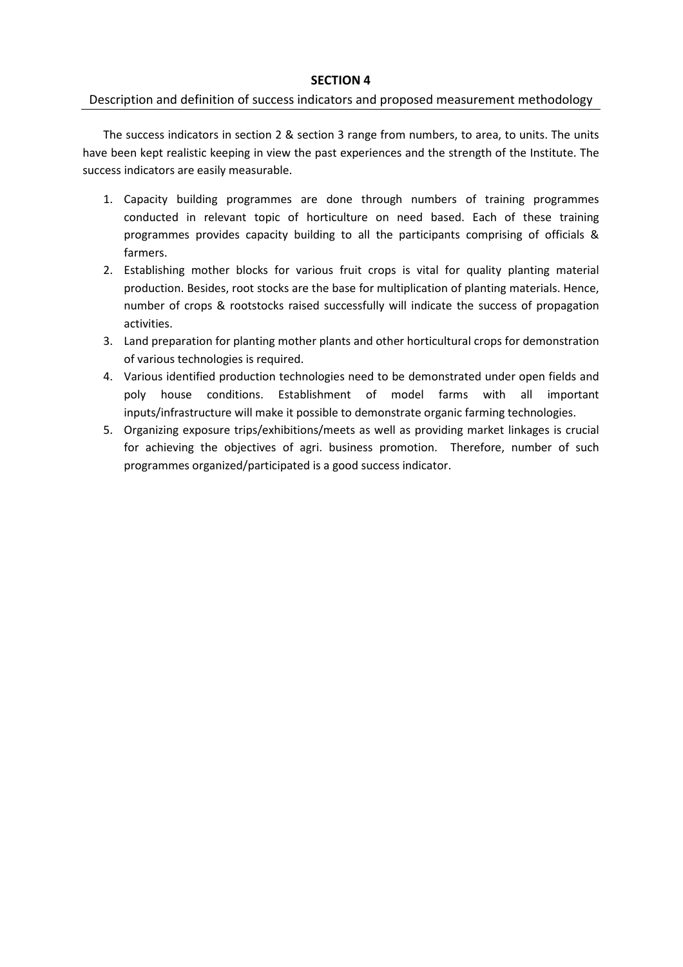#### SECTION 4

#### Description and definition of success indicators and proposed measurement methodology

The success indicators in section 2 & section 3 range from numbers, to area, to units. The units have been kept realistic keeping in view the past experiences and the strength of the Institute. The success indicators are easily measurable.

- 1. Capacity building programmes are done through numbers of training programmes conducted in relevant topic of horticulture on need based. Each of these training programmes provides capacity building to all the participants comprising of officials & farmers.
- 2. Establishing mother blocks for various fruit crops is vital for quality planting material production. Besides, root stocks are the base for multiplication of planting materials. Hence, number of crops & rootstocks raised successfully will indicate the success of propagation activities.
- 3. Land preparation for planting mother plants and other horticultural crops for demonstration of various technologies is required.
- 4. Various identified production technologies need to be demonstrated under open fields and poly house conditions. Establishment of model farms with all important inputs/infrastructure will make it possible to demonstrate organic farming technologies.
- 5. Organizing exposure trips/exhibitions/meets as well as providing market linkages is crucial for achieving the objectives of agri. business promotion. Therefore, number of such programmes organized/participated is a good success indicator.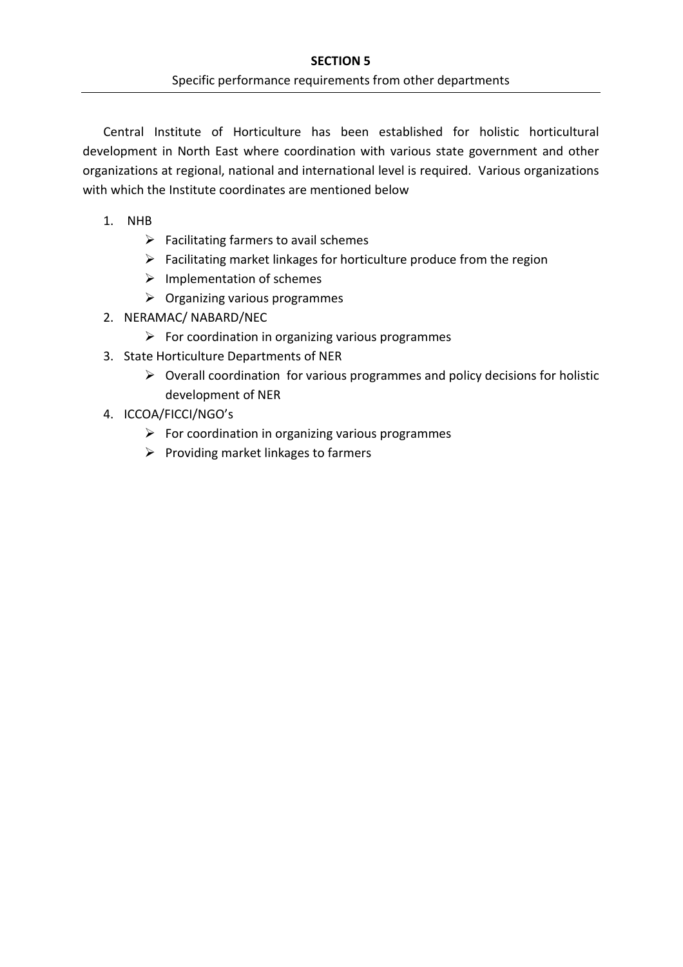Central Institute of Horticulture has been established for holistic horticultural development in North East where coordination with various state government and other organizations at regional, national and international level is required. Various organizations with which the Institute coordinates are mentioned below

- 1. NHB
	- $\triangleright$  Facilitating farmers to avail schemes
	- $\triangleright$  Facilitating market linkages for horticulture produce from the region
	- $\triangleright$  Implementation of schemes
	- $\triangleright$  Organizing various programmes
- 2. NERAMAC/ NABARD/NEC
	- $\triangleright$  For coordination in organizing various programmes
- 3. State Horticulture Departments of NER
	- $\triangleright$  Overall coordination for various programmes and policy decisions for holistic development of NER
- 4. ICCOA/FICCI/NGO's
	- $\triangleright$  For coordination in organizing various programmes
	- $\triangleright$  Providing market linkages to farmers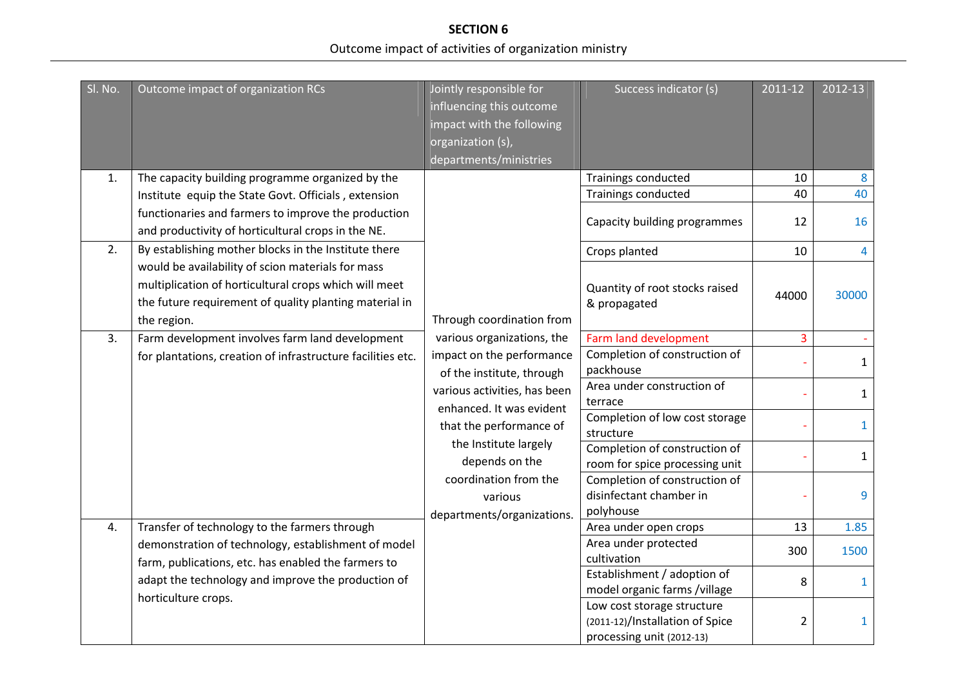**SECTION 6** Outcome impact of activities of organization ministry

| SI. No.        | Outcome impact of organization RCs                                                                                                                                                  | Jointly responsible for<br>influencing this outcome<br>impact with the following<br>organization (s),<br>departments/ministries | Success indicator (s)                                                                      | 2011-12        | 2012-13      |
|----------------|-------------------------------------------------------------------------------------------------------------------------------------------------------------------------------------|---------------------------------------------------------------------------------------------------------------------------------|--------------------------------------------------------------------------------------------|----------------|--------------|
| $\mathbf{1}$ . | The capacity building programme organized by the                                                                                                                                    |                                                                                                                                 | Trainings conducted                                                                        | 10             | 8            |
|                | Institute equip the State Govt. Officials, extension                                                                                                                                |                                                                                                                                 | Trainings conducted                                                                        | 40             | 40           |
|                | functionaries and farmers to improve the production<br>and productivity of horticultural crops in the NE.                                                                           |                                                                                                                                 | Capacity building programmes                                                               | 12             | 16           |
| 2.             | By establishing mother blocks in the Institute there                                                                                                                                |                                                                                                                                 | Crops planted                                                                              | 10             | 4            |
|                | would be availability of scion materials for mass<br>multiplication of horticultural crops which will meet<br>the future requirement of quality planting material in<br>the region. | Through coordination from                                                                                                       | Quantity of root stocks raised<br>& propagated                                             | 44000          | 30000        |
| 3.             | Farm development involves farm land development                                                                                                                                     | various organizations, the                                                                                                      | Farm land development                                                                      | 3              |              |
|                | for plantations, creation of infrastructure facilities etc.                                                                                                                         | impact on the performance<br>of the institute, through                                                                          | Completion of construction of<br>packhouse                                                 |                | $\mathbf{1}$ |
|                |                                                                                                                                                                                     | various activities, has been<br>enhanced. It was evident                                                                        | Area under construction of<br>terrace                                                      |                | $\mathbf{1}$ |
|                |                                                                                                                                                                                     | that the performance of                                                                                                         | Completion of low cost storage<br>structure                                                |                | $\mathbf{1}$ |
|                |                                                                                                                                                                                     | the Institute largely<br>depends on the                                                                                         | Completion of construction of<br>room for spice processing unit                            |                | $\mathbf{1}$ |
|                |                                                                                                                                                                                     | coordination from the<br>various<br>departments/organizations.                                                                  | Completion of construction of<br>disinfectant chamber in<br>polyhouse                      |                | 9            |
| 4.             | Transfer of technology to the farmers through                                                                                                                                       |                                                                                                                                 | Area under open crops                                                                      | 13             | 1.85         |
|                | demonstration of technology, establishment of model<br>farm, publications, etc. has enabled the farmers to                                                                          |                                                                                                                                 | Area under protected<br>cultivation                                                        | 300            | 1500         |
|                | adapt the technology and improve the production of<br>horticulture crops.                                                                                                           |                                                                                                                                 | Establishment / adoption of<br>model organic farms /village                                | 8              | $\mathbf{1}$ |
|                |                                                                                                                                                                                     |                                                                                                                                 | Low cost storage structure<br>(2011-12)/Installation of Spice<br>processing unit (2012-13) | $\overline{2}$ | 1            |